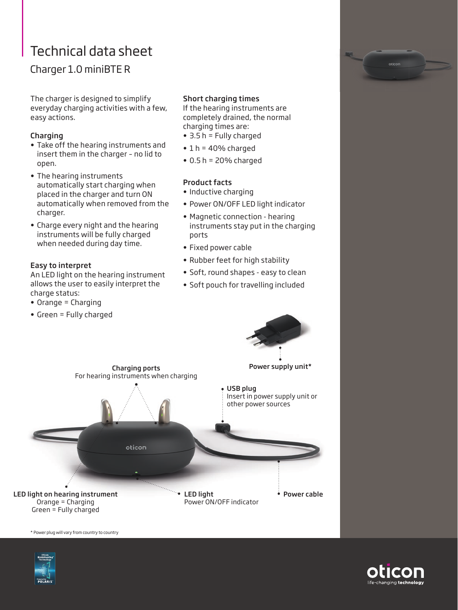# Technical data sheet

## Charger 1.0 miniBTE R

The charger is designed to simplify everyday charging activities with a few, easy actions.

#### Charging

- Take off the hearing instruments and insert them in the charger – no lid to open.
- The hearing instruments automatically start charging when placed in the charger and turn ON automatically when removed from the charger.
- Charge every night and the hearing instruments will be fully charged when needed during day time.

#### Easy to interpret

An LED light on the hearing instrument allows the user to easily interpret the charge status:

- Orange = Charging
- Green = Fully charged

### Short charging times

If the hearing instruments are completely drained, the normal charging times are:

- 3.5 h = Fully charged
- $\cdot$  1 h = 40% charged
- $\bullet$  0.5 h = 20% charged

#### Product facts

- Inductive charging
- Power ON/OFF LED light indicator
- Magnetic connection hearing instruments stay put in the charging ports
- Fixed power cable
- Rubber feet for high stability
- Soft, round shapes easy to clean
- Soft pouch for travelling included



\* Power plug will vary from country to country